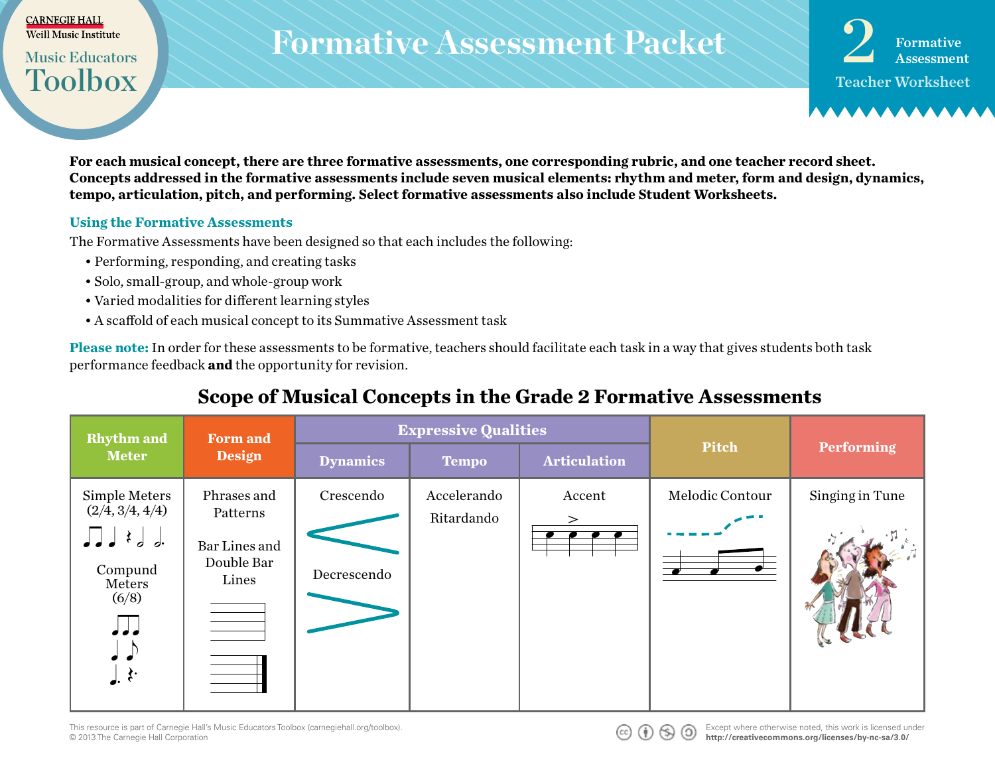#### <mark>CARNEGIE HALL</mark><br>Weill Music Institute EARNEGIE HALL<br>Weill Music Institute

Toolbox

œ œ œ œ

**Music Educators** 

## $\textit{R}$ <br>Music Educators Rormative Assessment Packet  $\textbf{2}$  Formative **Formative Assessment Packet**

Teacher Worksheet Formative

For each musical concept, there are three formative assessments, one corresponding rubric, and one teacher record sheet.<br>Concentrative diagram in the formative assessments in the second mondial classes about the second des **Concepts addressed in the formative assessments include seven musical elements: rhythm and meter, form and design, dynamics, tempo, articulation, pitch, and performing. Select formative assessments also include Student Worksheets.**

#### **Using the Formative Assessments**

œ œ ˙

The Formative Assessments have been designed so that each includes the following: Th The l<br>• E

- Performing, responding, and creating tasks The Formative Assessme<br>• Performing, respond<br>• Solo, small-group, an The Formative Assessment<br>• Performing, respondin<br>• Solo, small-group, and
	- Solo, small-group, and whole-group work how I won der die Sondag van die Sondag van die Sondag van die Sondag van die Sondag van die Sondag van die So<br>Begin die Sondag van die Sondag van die Sondag van die Sondag van die Sondag van die Sondag van die Sondag van  $\frac{1}{\sqrt{N}}$ 
		- Varied modalities for different learning styles
		- A scaffold of each musical concept to its Summative Assessment task

**Please note:** In order for these assessments to be formative, teachers should facilitate each task in a way that gives students both task performance feedback **and** the opportunity for revision. 3 ∑ ∑ ∑ ∑ 3 ∑ ∑ ∑ ∑ Please note: In order<br>performance feedbac Plea<br>perf

#### Scope of Musical Concepts in the Grade 2 Formative Assessments - - in the sky.

|                                                                                                                                                               |                                                                                                                                                                                                                                                                  | $\sigma$ of $\sigma$ is the concepts in the Grade $\sigma$ ruling $\sigma$ assessments |                           |                                                             |                 |                   |
|---------------------------------------------------------------------------------------------------------------------------------------------------------------|------------------------------------------------------------------------------------------------------------------------------------------------------------------------------------------------------------------------------------------------------------------|----------------------------------------------------------------------------------------|---------------------------|-------------------------------------------------------------|-----------------|-------------------|
| <b>Rhythm</b> and                                                                                                                                             | <b>Form and</b><br><b>Design</b>                                                                                                                                                                                                                                 | <b>Expressive Qualities</b>                                                            |                           |                                                             |                 |                   |
| <b>Meter</b>                                                                                                                                                  |                                                                                                                                                                                                                                                                  | <b>Dynamics</b>                                                                        | <b>Tempo</b>              | <b>Articulation</b>                                         | Pitch           | <b>Performing</b> |
| Simple Meters<br>$(2/\overline{4}, 3/4, 4/4)$<br>$\prod$ $\downarrow$ $\downarrow$ $\downarrow$<br>Compund<br>Meters<br>(6/8)<br>$\sqrt{2}$<br>$\mathbf{r}$ . | Phrases and<br>Patterns<br>Bar Lines and<br>Double Bar<br>Lines<br>the control of the control of the<br>the control of the control of the<br>and the control of the control of<br>and the control of the control of<br>$\overline{\phantom{a}}$<br>$\sim$ $\sim$ | Crescendo<br>Decrescendo                                                               | Accelerando<br>Ritardando | Accent<br>$\geq$<br>$\bullet$ $\bullet$ $\bullet$ $\bullet$ | Melodic Contour | Singing in Tune   |

This resource is part of Carnegie Hall's Music Educators Toolbox (carnegiehall.org/toolbox). © 2013 The Carnegie Hall Corporation ███<br>This resource is part of Carnegie Hall's Mu<br>◎ 2013 The Carnegie Hall Corporation

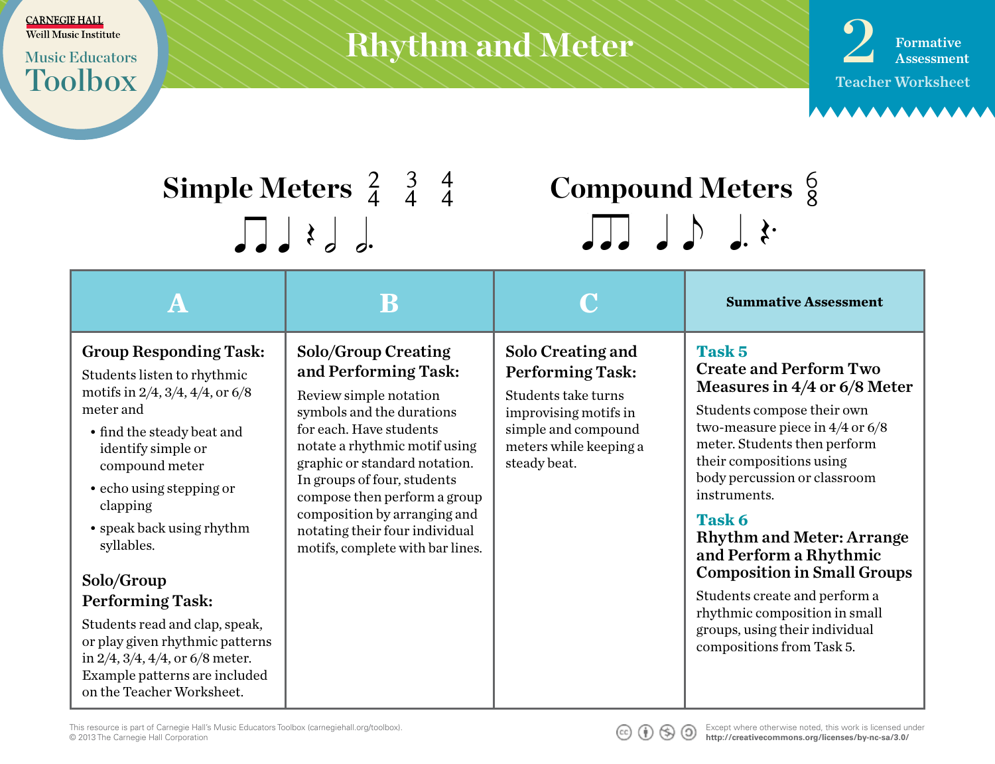Toolbox

## $\text{Music Institute}\ \text{Music Institute}\ \text{Music Intelligence}$ **Rhythm and Meter**

Teacher Worksheet **Formative** 

## **Simple Meters**  $\begin{array}{cc} 2 & 3 & 4 \\ 4 & 4 & 4 \end{array}$  $\int d^{3}$

# **Compound Meters**  $\frac{6}{8}$ <br> $\sqrt{36}$   $\sqrt{36}$   $\sqrt{36}$

|                                                                                                                                                                                                                                                                                                                                                                                                                                                                                                          | B                                                                                                                                                                                                                                                                                                                                                                           |                                                                                                                                                               | <b>Summative Assessment</b>                                                                                                                                                                                                                                                                                                                                                                                                                                                                               |
|----------------------------------------------------------------------------------------------------------------------------------------------------------------------------------------------------------------------------------------------------------------------------------------------------------------------------------------------------------------------------------------------------------------------------------------------------------------------------------------------------------|-----------------------------------------------------------------------------------------------------------------------------------------------------------------------------------------------------------------------------------------------------------------------------------------------------------------------------------------------------------------------------|---------------------------------------------------------------------------------------------------------------------------------------------------------------|-----------------------------------------------------------------------------------------------------------------------------------------------------------------------------------------------------------------------------------------------------------------------------------------------------------------------------------------------------------------------------------------------------------------------------------------------------------------------------------------------------------|
| <b>Group Responding Task:</b><br>Students listen to rhythmic<br>motifs in $2/4$ , $3/4$ , $4/4$ , or $6/8$<br>meter and<br>• find the steady beat and<br>identify simple or<br>compound meter<br>• echo using stepping or<br>clapping<br>• speak back using rhythm<br>syllables.<br>Solo/Group<br><b>Performing Task:</b><br>Students read and clap, speak,<br>or play given rhythmic patterns<br>in $2/4$ , $3/4$ , $4/4$ , or 6/8 meter.<br>Example patterns are included<br>on the Teacher Worksheet. | <b>Solo/Group Creating</b><br>and Performing Task:<br>Review simple notation<br>symbols and the durations<br>for each. Have students<br>notate a rhythmic motif using<br>graphic or standard notation.<br>In groups of four, students<br>compose then perform a group<br>composition by arranging and<br>notating their four individual<br>motifs, complete with bar lines. | Solo Creating and<br><b>Performing Task:</b><br>Students take turns<br>improvising motifs in<br>simple and compound<br>meters while keeping a<br>steady beat. | Task 5<br><b>Create and Perform Two</b><br>Measures in $4/4$ or 6/8 Meter<br>Students compose their own<br>two-measure piece in $4/4$ or $6/8$<br>meter. Students then perform<br>their compositions using<br>body percussion or classroom<br>instruments.<br>Task 6<br><b>Rhythm and Meter: Arrange</b><br>and Perform a Rhythmic<br><b>Composition in Small Groups</b><br>Students create and perform a<br>rhythmic composition in small<br>groups, using their individual<br>compositions from Task 5. |

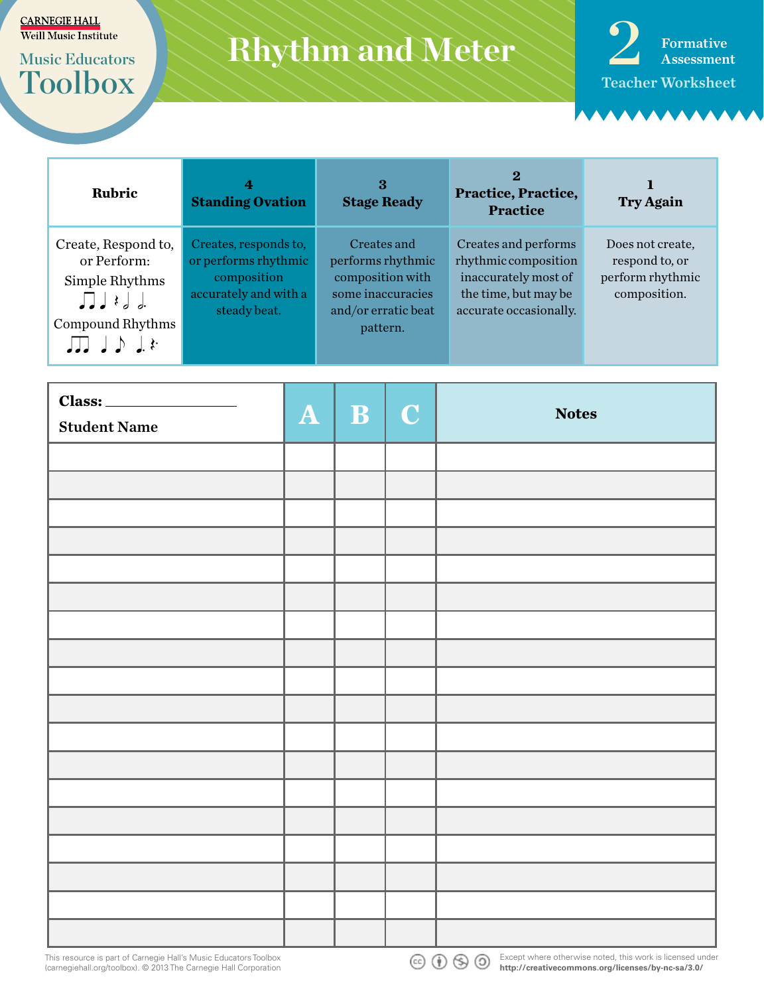# Toolbox

## **Music Educators**



| <b>Rubric</b>                                                                                                              | 4<br><b>Standing Ovation</b>                                                                          | 3<br><b>Stage Ready</b>                                                                                      | 2<br>Practice, Practice,<br><b>Practice</b>                                                                            | <b>Try Again</b>                                                       |
|----------------------------------------------------------------------------------------------------------------------------|-------------------------------------------------------------------------------------------------------|--------------------------------------------------------------------------------------------------------------|------------------------------------------------------------------------------------------------------------------------|------------------------------------------------------------------------|
| Create, Respond to,<br>or Perform:<br>Simple Rhythms<br>$\prod$ $\downarrow$ $\downarrow$ $\downarrow$<br>Compound Rhythms | Creates, responds to,<br>or performs rhythmic<br>composition<br>accurately and with a<br>steady beat. | Creates and<br>performs rhythmic<br>composition with<br>some inaccuracies<br>and/or erratic beat<br>pattern. | Creates and performs<br>rhythmic composition<br>inaccurately most of<br>the time, but may be<br>accurate occasionally. | Does not create.<br>respond to, or<br>perform rhythmic<br>composition. |

| $\boxed{\text{Class:}\qquad \qquad }$<br><b>Student Name</b> | $A \mid B \mid C$ | <b>Notes</b> |
|--------------------------------------------------------------|-------------------|--------------|
|                                                              |                   |              |
|                                                              |                   |              |
|                                                              |                   |              |
|                                                              |                   |              |
|                                                              |                   |              |
|                                                              |                   |              |
|                                                              |                   |              |
|                                                              |                   |              |
|                                                              |                   |              |
|                                                              |                   |              |
|                                                              |                   |              |
|                                                              |                   |              |
|                                                              |                   |              |
|                                                              |                   |              |
|                                                              |                   |              |
|                                                              |                   |              |
|                                                              |                   |              |
|                                                              |                   |              |

This resource is part of Carnegie Hall's Music Educators Toolbox (carnegiehall.org/toolbox). © 2013 The Carnegie Hall Corporation



Except where otherwise noted, this work is licensed under **cc)**  $\bigodot$   $\bigodot$  **b** Except where otherwise noted, this work is noting to http://creativecommons.org/licenses/by-nc-sa/3.0/